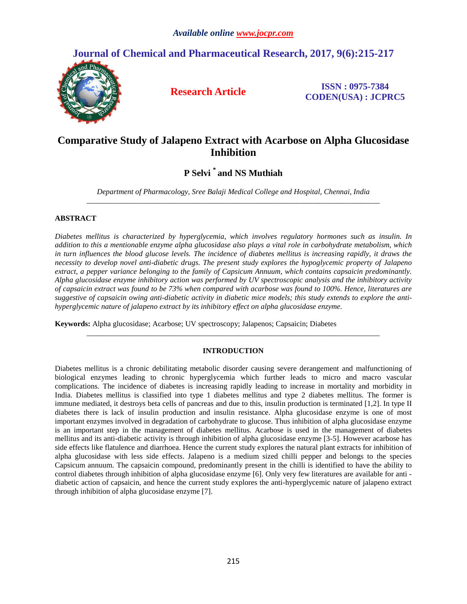# **Journal of Chemical and Pharmaceutical Research, 2017, 9(6):215-217**



**Research Article ISSN : 0975-7384 CODEN(USA) : JCPRC5**

## **Comparative Study of Jalapeno Extract with Acarbose on Alpha Glucosidase Inhibition**

## **P Selvi \* and NS Muthiah**

*Department of Pharmacology, Sree Balaji Medical College and Hospital, Chennai, India \_\_\_\_\_\_\_\_\_\_\_\_\_\_\_\_\_\_\_\_\_\_\_\_\_\_\_\_\_\_\_\_\_\_\_\_\_\_\_\_\_\_\_\_\_\_\_\_\_\_\_\_\_\_\_\_\_\_\_\_\_\_\_\_\_\_\_\_\_\_\_\_\_\_\_\_\_*

## **ABSTRACT**

*Diabetes mellitus is characterized by hyperglycemia, which involves regulatory hormones such as insulin. In* addition to this a mentionable enzyme alpha glucosidase also plays a vital role in carbohydrate metabolism, which in turn influences the blood glucose levels. The incidence of diabetes mellitus is increasing rapidly, it draws the *necessity to develop novel anti-diabetic drugs. The present study explores the hypoglycemic property of Jalapeno extract, a pepper variance belonging to the family of Capsicum Annuum, which contains capsaicin predominantly. Alpha glucosidase enzyme inhibitory action was performed by UV spectroscopic analysis and the inhibitory activity* of capsaicin extract was found to be 73% when compared with acarbose was found to 100%. Hence, literatures are suggestive of capsaicin owing anti-diabetic activity in diabetic mice models; this study extends to explore the anti*hyperglycemic nature of jalapeno extract by its inhibitory effect on alpha glucosidase enzyme.*

**Keywords:** Alpha glucosidase; Acarbose; UV spectroscopy; Jalapenos; Capsaicin; Diabetes

### **INTRODUCTION**

*\_\_\_\_\_\_\_\_\_\_\_\_\_\_\_\_\_\_\_\_\_\_\_\_\_\_\_\_\_\_\_\_\_\_\_\_\_\_\_\_\_\_\_\_\_\_\_\_\_\_\_\_\_\_\_\_\_\_\_\_\_\_\_\_\_\_\_\_\_\_\_\_\_\_\_\_\_*

Diabetes mellitus is a chronic debilitating metabolic disorder causing severe derangement and malfunctioning of biological enzymes leading to chronic hyperglycemia which further leads to micro and macro vascular complications. The incidence of diabetes is increasing rapidly leading to increase in mortality and morbidity in India. Diabetes mellitus is classified into type 1 diabetes mellitus and type 2 diabetes mellitus. The former is immune mediated, it destroys beta cells of pancreas and due to this, insulin production is terminated [1,2]. In type II diabetes there is lack of insulin production and insulin resistance. Alpha glucosidase enzyme is one of most important enzymes involved in degradation of carbohydrate to glucose. Thus inhibition of alpha glucosidase enzyme is an important step in the management of diabetes mellitus. Acarbose is used in the management of diabetes mellitus and its anti-diabetic activity is through inhibition of alpha glucosidase enzyme [3-5]. However acarbose has side effects like flatulence and diarrhoea. Hence the current study explores the natural plant extracts for inhibition of alpha glucosidase with less side effects. Jalapeno is a medium sized chilli pepper and belongs to the species Capsicum annuum. The capsaicin compound, predominantly present in the chilli is identified to have the ability to control diabetes through inhibition of alpha glucosidase enzyme [6]. Only very few literatures are available for anti diabetic action of capsaicin, and hence the current study explores the anti-hyperglycemic nature of jalapeno extract through inhibition of alpha glucosidase enzyme [7].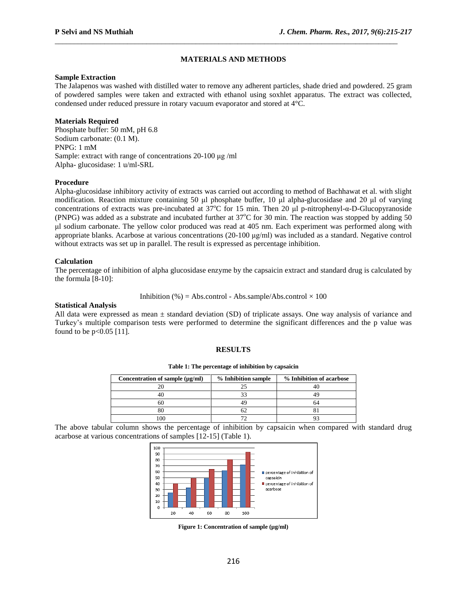### **MATERIALS AND METHODS**

\_\_\_\_\_\_\_\_\_\_\_\_\_\_\_\_\_\_\_\_\_\_\_\_\_\_\_\_\_\_\_\_\_\_\_\_\_\_\_\_\_\_\_\_\_\_\_\_\_\_\_\_\_\_\_\_\_\_\_\_\_\_\_\_\_\_\_\_\_\_\_\_\_\_\_\_\_\_\_\_\_\_\_\_\_\_\_\_\_\_

#### **Sample Extraction**

The Jalapenos was washed with distilled water to remove any adherent particles, shade dried and powdered. 25 gram of powdered samples were taken and extracted with ethanol using soxhlet apparatus. The extract was collected, condensed under reduced pressure in rotary vacuum evaporator and stored at 4°C.

### **Materials Required**

Phosphate buffer: 50 mM, pH 6.8 Sodium carbonate: (0.1 M). PNPG: 1 mM Sample: extract with range of concentrations 20-100 μg /ml Alpha- glucosidase: 1 u/ml-SRL

### **Procedure**

Alpha-glucosidase inhibitory activity of extracts was carried out according to method of Bachhawat et al. with slight modification. Reaction mixture containing 50 μl phosphate buffer, 10 μl alpha-glucosidase and 20 μl of varying concentrations of extracts was pre-incubated at 37<sup>ο</sup>C for 15 min. Then 20 μl p-nitrophenyl-α-D-Glucopyranoside (PNPG) was added as a substrate and incubated further at  $37^{\circ}$ C for 30 min. The reaction was stopped by adding 50 μl sodium carbonate. The yellow color produced was read at 405 nm. Each experiment was performed along with appropriate blanks. Acarbose at various concentrations (20-100 μg/ml) was included as a standard. Negative control without extracts was set up in parallel. The result is expressed as percentage inhibition.

## **Calculation**

The percentage of inhibition of alpha glucosidase enzyme by the capsaicin extract and standard drug is calculated by the formula [8-10]:

#### Inhibition (%) = Abs.control - Abs.sample/Abs.control  $\times$  100

### **Statistical Analysis**

All data were expressed as mean  $\pm$  standard deviation (SD) of triplicate assays. One way analysis of variance and Turkey's multiple comparison tests were performed to determine the significant differences and the p value was found to be  $p < 0.05$  [11].

### **RESULTS**

**Table 1: The percentage of inhibition by capsaicin**

| Concentration of sample $(\mu g/ml)$ | % Inhibition sample | % Inhibition of acarbose |
|--------------------------------------|---------------------|--------------------------|
|                                      |                     |                          |
|                                      |                     |                          |
|                                      |                     |                          |
|                                      |                     |                          |
|                                      |                     |                          |

The above tabular column shows the percentage of inhibition by capsaicin when compared with standard drug acarbose at various concentrations of samples [12-15] (Table 1).



**Figure 1: Concentration of sample (µg/ml)**